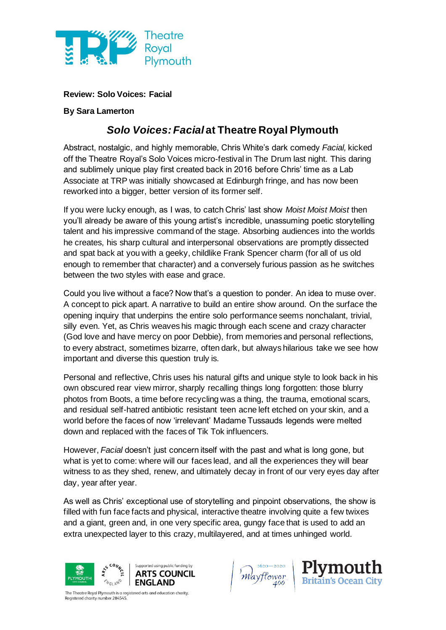

**Review: Solo Voices: Facial**

## **By Sara Lamerton**

## *Solo Voices: Facial* **at Theatre Royal Plymouth**

Abstract, nostalgic, and highly memorable, Chris White's dark comedy *Facial,* kicked off the Theatre Royal's Solo Voices micro-festival in The Drum last night. This daring and sublimely unique play first created back in 2016 before Chris' time as a Lab Associate at TRP was initially showcased at Edinburgh fringe, and has now been reworked into a bigger, better version of its former self.

If you were lucky enough, as I was, to catch Chris' last show *Moist Moist Moist* then you'll already be aware of this young artist's incredible, unassuming poetic storytelling talent and his impressive command of the stage. Absorbing audiences into the worlds he creates, his sharp cultural and interpersonal observations are promptly dissected and spat back at you with a geeky, childlike Frank Spencer charm (for all of us old enough to remember that character) and a conversely furious passion as he switches between the two styles with ease and grace.

Could you live without a face? Now that's a question to ponder. An idea to muse over. A concept to pick apart. A narrative to build an entire show around. On the surface the opening inquiry that underpins the entire solo performance seems nonchalant, trivial, silly even. Yet, as Chris weaves his magic through each scene and crazy character (God love and have mercy on poor Debbie), from memories and personal reflections, to every abstract, sometimes bizarre, often dark, but always hilarious take we see how important and diverse this question truly is.

Personal and reflective, Chris uses his natural gifts and unique style to look back in his own obscured rear view mirror, sharply recalling things long forgotten: those blurry photos from Boots, a time before recycling was a thing, the trauma, emotional scars, and residual self-hatred antibiotic resistant teen acne left etched on your skin, and a world before the faces of now 'irrelevant' Madame Tussauds legends were melted down and replaced with the faces of Tik Tok influencers.

However, *Facial* doesn't just concern itself with the past and what is long gone, but what is yet to come: where will our faces lead, and all the experiences they will bear witness to as they shed, renew, and ultimately decay in front of our very eyes day after day, year after year.

As well as Chris' exceptional use of storytelling and pinpoint observations, the show is filled with fun face facts and physical, interactive theatre involving quite a few twixes and a giant, green and, in one very specific area, gungy face that is used to add an extra unexpected layer to this crazy, multilayered, and at times unhinged world.







The Theatre Royal Plymouth is a registered arts and education charity. egistered charity number 284545